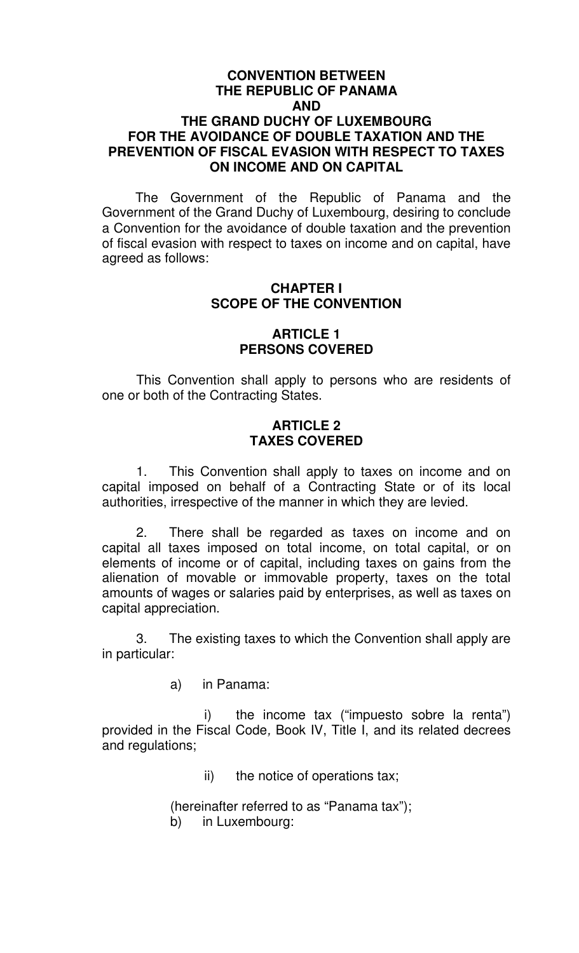## **CONVENTION BETWEEN THE REPUBLIC OF PANAMA AND THE GRAND DUCHY OF LUXEMBOURG FOR THE AVOIDANCE OF DOUBLE TAXATION AND THE PREVENTION OF FISCAL EVASION WITH RESPECT TO TAXES ON INCOME AND ON CAPITAL**

 The Government of the Republic of Panama and the Government of the Grand Duchy of Luxembourg, desiring to conclude a Convention for the avoidance of double taxation and the prevention of fiscal evasion with respect to taxes on income and on capital, have agreed as follows:

### **CHAPTER I SCOPE OF THE CONVENTION**

### **ARTICLE 1 PERSONS COVERED**

This Convention shall apply to persons who are residents of one or both of the Contracting States.

### **ARTICLE 2 TAXES COVERED**

1. This Convention shall apply to taxes on income and on capital imposed on behalf of a Contracting State or of its local authorities, irrespective of the manner in which they are levied.

2. There shall be regarded as taxes on income and on capital all taxes imposed on total income, on total capital, or on elements of income or of capital, including taxes on gains from the alienation of movable or immovable property, taxes on the total amounts of wages or salaries paid by enterprises, as well as taxes on capital appreciation.

3. The existing taxes to which the Convention shall apply are in particular:

a) in Panama:

i) the income tax ("impuesto sobre la renta") provided in the Fiscal Code, Book IV, Title I, and its related decrees and regulations;

ii) the notice of operations tax;

(hereinafter referred to as "Panama tax");

b) in Luxembourg: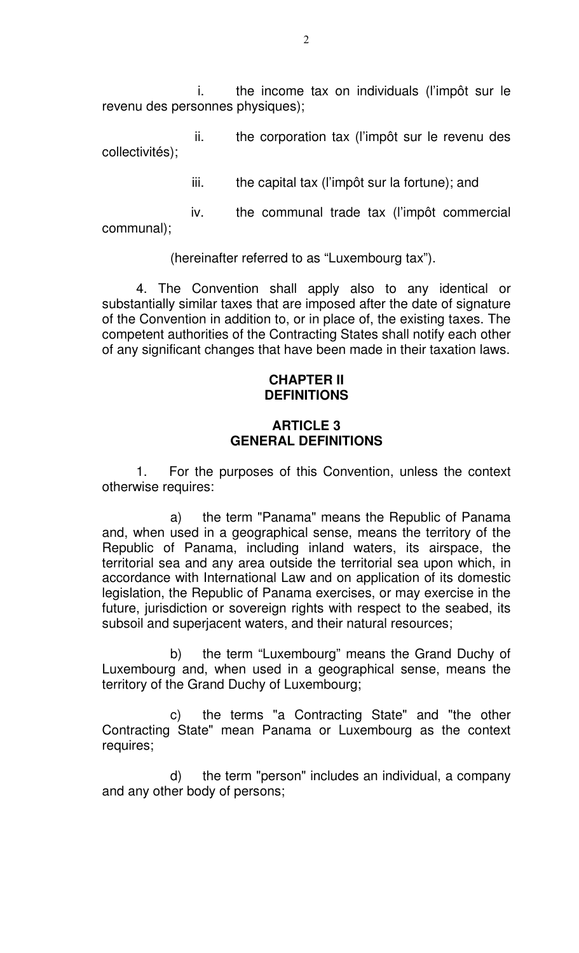i. the income tax on individuals (l'impôt sur le revenu des personnes physiques);

ii. the corporation tax (l'impôt sur le revenu des collectivités);

iii. the capital tax (l'impôt sur la fortune); and

iv. the communal trade tax (l'impôt commercial communal);

(hereinafter referred to as "Luxembourg tax").

4. The Convention shall apply also to any identical or substantially similar taxes that are imposed after the date of signature of the Convention in addition to, or in place of, the existing taxes. The competent authorities of the Contracting States shall notify each other of any significant changes that have been made in their taxation laws.

### **CHAPTER II DEFINITIONS**

## **ARTICLE 3 GENERAL DEFINITIONS**

1. For the purposes of this Convention, unless the context otherwise requires:

a) the term "Panama" means the Republic of Panama and, when used in a geographical sense, means the territory of the Republic of Panama, including inland waters, its airspace, the territorial sea and any area outside the territorial sea upon which, in accordance with International Law and on application of its domestic legislation, the Republic of Panama exercises, or may exercise in the future, jurisdiction or sovereign rights with respect to the seabed, its subsoil and superjacent waters, and their natural resources;

b) the term "Luxembourg" means the Grand Duchy of Luxembourg and, when used in a geographical sense, means the territory of the Grand Duchy of Luxembourg;

c) the terms "a Contracting State" and "the other Contracting State" mean Panama or Luxembourg as the context requires;

d) the term "person" includes an individual, a company and any other body of persons;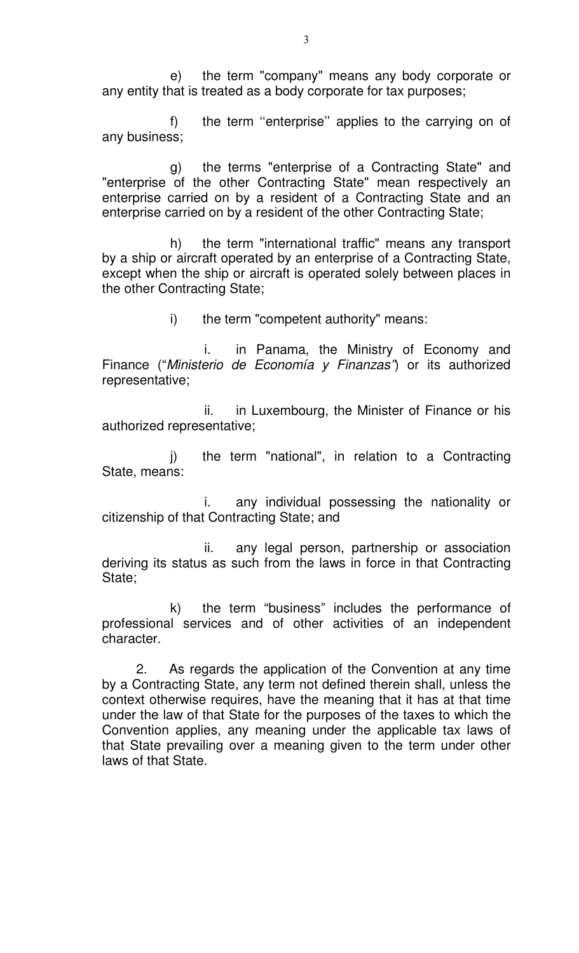e) the term "company" means any body corporate or any entity that is treated as a body corporate for tax purposes;

f) the term "enterprise" applies to the carrying on of any business;

g) the terms "enterprise of a Contracting State" and "enterprise of the other Contracting State" mean respectively an enterprise carried on by a resident of a Contracting State and an enterprise carried on by a resident of the other Contracting State;

h) the term "international traffic" means any transport by a ship or aircraft operated by an enterprise of a Contracting State, except when the ship or aircraft is operated solely between places in the other Contracting State;

i) the term "competent authority" means:

i. in Panama, the Ministry of Economy and Finance ("Ministerio de Economía y Finanzas") or its authorized representative;

ii. in Luxembourg, the Minister of Finance or his authorized representative;

j) the term "national", in relation to a Contracting State, means:

i. any individual possessing the nationality or citizenship of that Contracting State; and

ii. any legal person, partnership or association deriving its status as such from the laws in force in that Contracting State;

k) the term "business" includes the performance of professional services and of other activities of an independent character.

2. As regards the application of the Convention at any time by a Contracting State, any term not defined therein shall, unless the context otherwise requires, have the meaning that it has at that time under the law of that State for the purposes of the taxes to which the Convention applies, any meaning under the applicable tax laws of that State prevailing over a meaning given to the term under other laws of that State.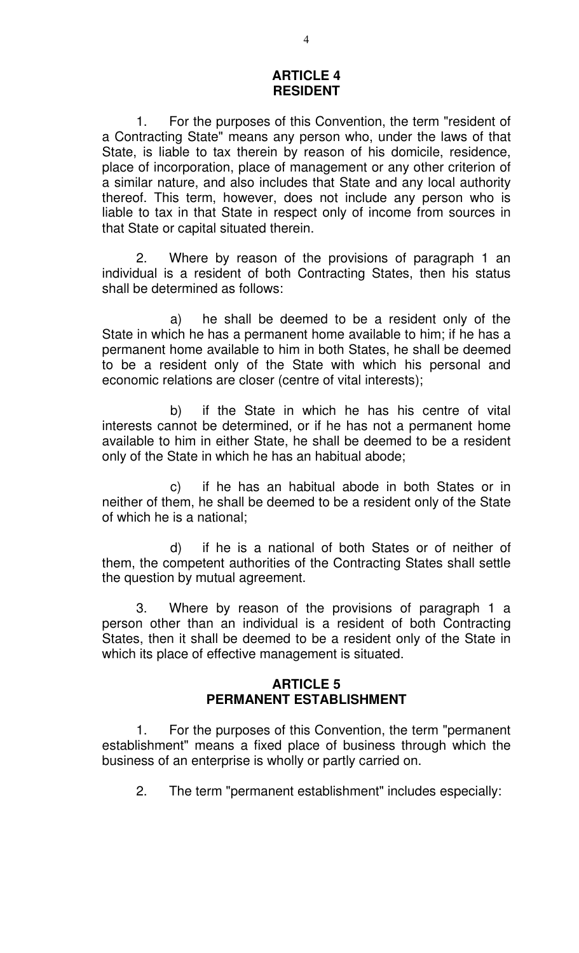#### **ARTICLE 4 RESIDENT**

1. For the purposes of this Convention, the term "resident of a Contracting State" means any person who, under the laws of that State, is liable to tax therein by reason of his domicile, residence, place of incorporation, place of management or any other criterion of a similar nature, and also includes that State and any local authority thereof. This term, however, does not include any person who is liable to tax in that State in respect only of income from sources in that State or capital situated therein.

2. Where by reason of the provisions of paragraph 1 an individual is a resident of both Contracting States, then his status shall be determined as follows:

a) he shall be deemed to be a resident only of the State in which he has a permanent home available to him; if he has a permanent home available to him in both States, he shall be deemed to be a resident only of the State with which his personal and economic relations are closer (centre of vital interests);

b) if the State in which he has his centre of vital interests cannot be determined, or if he has not a permanent home available to him in either State, he shall be deemed to be a resident only of the State in which he has an habitual abode;

c) if he has an habitual abode in both States or in neither of them, he shall be deemed to be a resident only of the State of which he is a national;

d) if he is a national of both States or of neither of them, the competent authorities of the Contracting States shall settle the question by mutual agreement.

3. Where by reason of the provisions of paragraph 1 a person other than an individual is a resident of both Contracting States, then it shall be deemed to be a resident only of the State in which its place of effective management is situated.

## **ARTICLE 5 PERMANENT ESTABLISHMENT**

1. For the purposes of this Convention, the term "permanent establishment" means a fixed place of business through which the business of an enterprise is wholly or partly carried on.

2. The term "permanent establishment" includes especially: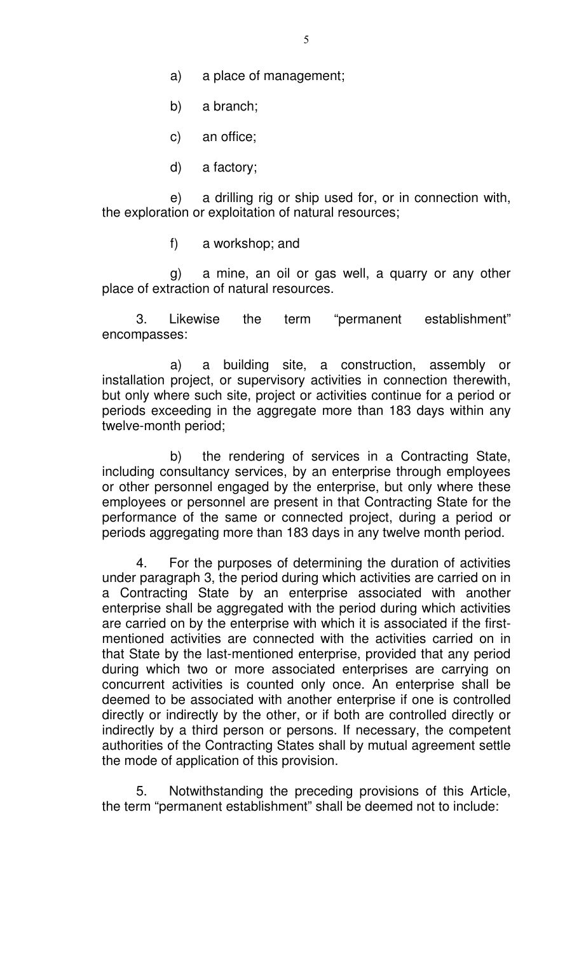- b) a branch;
- c) an office;
- d) a factory;

e) a drilling rig or ship used for, or in connection with, the exploration or exploitation of natural resources;

f) a workshop; and

g) a mine, an oil or gas well, a quarry or any other place of extraction of natural resources.

3. Likewise the term "permanent establishment" encompasses:

a) a building site, a construction, assembly or installation project, or supervisory activities in connection therewith, but only where such site, project or activities continue for a period or periods exceeding in the aggregate more than 183 days within any twelve-month period;

b) the rendering of services in a Contracting State, including consultancy services, by an enterprise through employees or other personnel engaged by the enterprise, but only where these employees or personnel are present in that Contracting State for the performance of the same or connected project, during a period or periods aggregating more than 183 days in any twelve month period.

4. For the purposes of determining the duration of activities under paragraph 3, the period during which activities are carried on in a Contracting State by an enterprise associated with another enterprise shall be aggregated with the period during which activities are carried on by the enterprise with which it is associated if the firstmentioned activities are connected with the activities carried on in that State by the last-mentioned enterprise, provided that any period during which two or more associated enterprises are carrying on concurrent activities is counted only once. An enterprise shall be deemed to be associated with another enterprise if one is controlled directly or indirectly by the other, or if both are controlled directly or indirectly by a third person or persons. If necessary, the competent authorities of the Contracting States shall by mutual agreement settle the mode of application of this provision.

5. Notwithstanding the preceding provisions of this Article, the term "permanent establishment" shall be deemed not to include: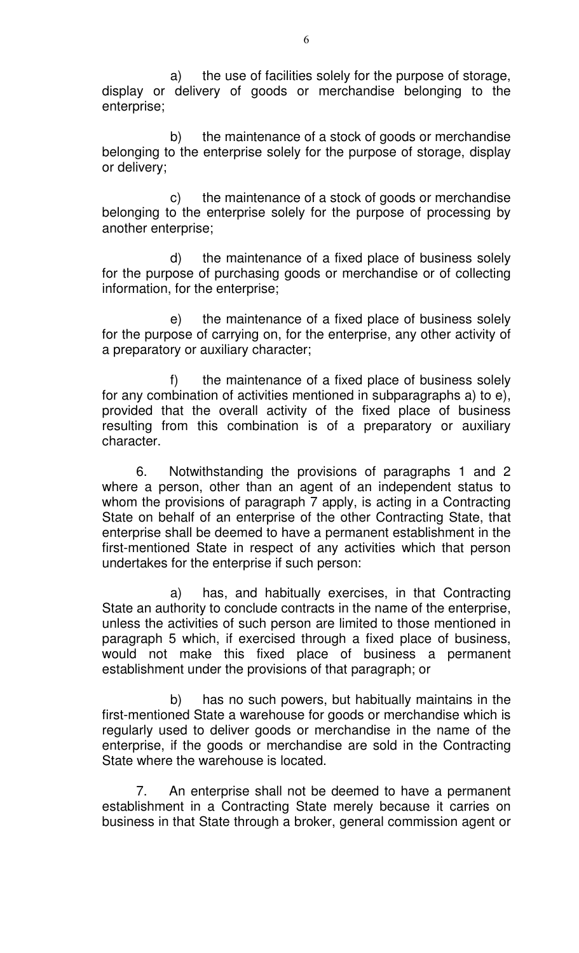a) the use of facilities solely for the purpose of storage, display or delivery of goods or merchandise belonging to the enterprise;

b) the maintenance of a stock of goods or merchandise belonging to the enterprise solely for the purpose of storage, display or delivery;

c) the maintenance of a stock of goods or merchandise belonging to the enterprise solely for the purpose of processing by another enterprise;

d) the maintenance of a fixed place of business solely for the purpose of purchasing goods or merchandise or of collecting information, for the enterprise;

e) the maintenance of a fixed place of business solely for the purpose of carrying on, for the enterprise, any other activity of a preparatory or auxiliary character;

f) the maintenance of a fixed place of business solely for any combination of activities mentioned in subparagraphs a) to e), provided that the overall activity of the fixed place of business resulting from this combination is of a preparatory or auxiliary character.

6. Notwithstanding the provisions of paragraphs 1 and 2 where a person, other than an agent of an independent status to whom the provisions of paragraph 7 apply, is acting in a Contracting State on behalf of an enterprise of the other Contracting State, that enterprise shall be deemed to have a permanent establishment in the first-mentioned State in respect of any activities which that person undertakes for the enterprise if such person:

a) has, and habitually exercises, in that Contracting State an authority to conclude contracts in the name of the enterprise, unless the activities of such person are limited to those mentioned in paragraph 5 which, if exercised through a fixed place of business, would not make this fixed place of business a permanent establishment under the provisions of that paragraph; or

b) has no such powers, but habitually maintains in the first-mentioned State a warehouse for goods or merchandise which is regularly used to deliver goods or merchandise in the name of the enterprise, if the goods or merchandise are sold in the Contracting State where the warehouse is located.

7. An enterprise shall not be deemed to have a permanent establishment in a Contracting State merely because it carries on business in that State through a broker, general commission agent or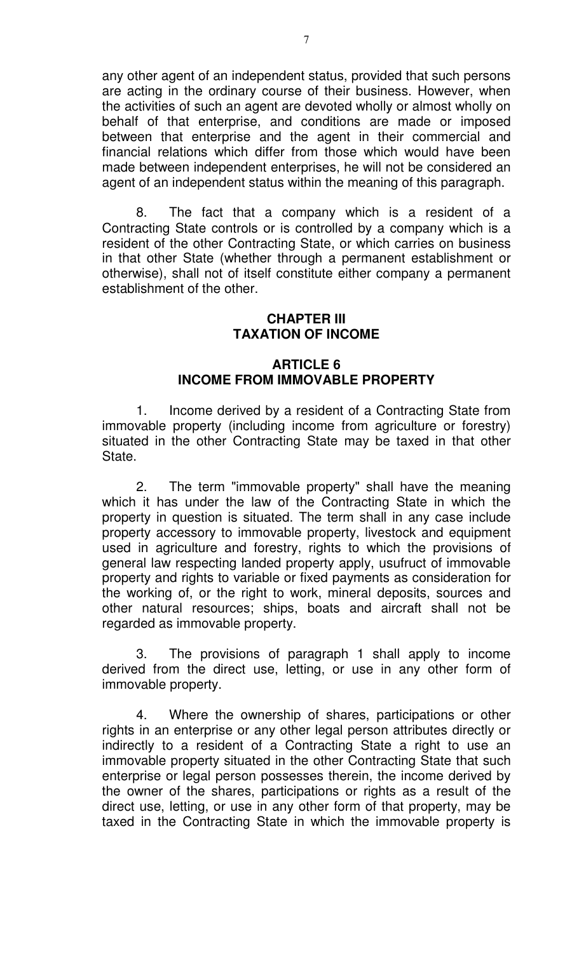any other agent of an independent status, provided that such persons are acting in the ordinary course of their business. However, when the activities of such an agent are devoted wholly or almost wholly on behalf of that enterprise, and conditions are made or imposed between that enterprise and the agent in their commercial and financial relations which differ from those which would have been made between independent enterprises, he will not be considered an agent of an independent status within the meaning of this paragraph.

8. The fact that a company which is a resident of a Contracting State controls or is controlled by a company which is a resident of the other Contracting State, or which carries on business in that other State (whether through a permanent establishment or otherwise), shall not of itself constitute either company a permanent establishment of the other.

#### **CHAPTER III TAXATION OF INCOME**

# **ARTICLE 6 INCOME FROM IMMOVABLE PROPERTY**

1. Income derived by a resident of a Contracting State from immovable property (including income from agriculture or forestry) situated in the other Contracting State may be taxed in that other State.

2. The term "immovable property" shall have the meaning which it has under the law of the Contracting State in which the property in question is situated. The term shall in any case include property accessory to immovable property, livestock and equipment used in agriculture and forestry, rights to which the provisions of general law respecting landed property apply, usufruct of immovable property and rights to variable or fixed payments as consideration for the working of, or the right to work, mineral deposits, sources and other natural resources; ships, boats and aircraft shall not be regarded as immovable property.

3. The provisions of paragraph 1 shall apply to income derived from the direct use, letting, or use in any other form of immovable property.

4. Where the ownership of shares, participations or other rights in an enterprise or any other legal person attributes directly or indirectly to a resident of a Contracting State a right to use an immovable property situated in the other Contracting State that such enterprise or legal person possesses therein, the income derived by the owner of the shares, participations or rights as a result of the direct use, letting, or use in any other form of that property, may be taxed in the Contracting State in which the immovable property is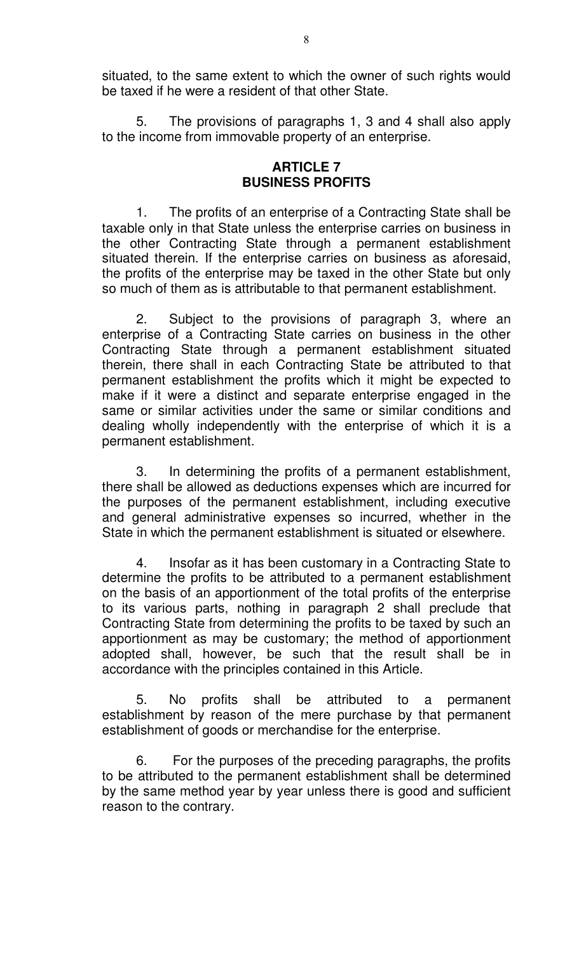situated, to the same extent to which the owner of such rights would be taxed if he were a resident of that other State.

5. The provisions of paragraphs 1, 3 and 4 shall also apply to the income from immovable property of an enterprise.

## **ARTICLE 7 BUSINESS PROFITS**

1. The profits of an enterprise of a Contracting State shall be taxable only in that State unless the enterprise carries on business in the other Contracting State through a permanent establishment situated therein. If the enterprise carries on business as aforesaid, the profits of the enterprise may be taxed in the other State but only so much of them as is attributable to that permanent establishment.

2. Subject to the provisions of paragraph 3, where an enterprise of a Contracting State carries on business in the other Contracting State through a permanent establishment situated therein, there shall in each Contracting State be attributed to that permanent establishment the profits which it might be expected to make if it were a distinct and separate enterprise engaged in the same or similar activities under the same or similar conditions and dealing wholly independently with the enterprise of which it is a permanent establishment.

3. In determining the profits of a permanent establishment, there shall be allowed as deductions expenses which are incurred for the purposes of the permanent establishment, including executive and general administrative expenses so incurred, whether in the State in which the permanent establishment is situated or elsewhere.

4. Insofar as it has been customary in a Contracting State to determine the profits to be attributed to a permanent establishment on the basis of an apportionment of the total profits of the enterprise to its various parts, nothing in paragraph 2 shall preclude that Contracting State from determining the profits to be taxed by such an apportionment as may be customary; the method of apportionment adopted shall, however, be such that the result shall be in accordance with the principles contained in this Article.

5. No profits shall be attributed to a permanent establishment by reason of the mere purchase by that permanent establishment of goods or merchandise for the enterprise.

6. For the purposes of the preceding paragraphs, the profits to be attributed to the permanent establishment shall be determined by the same method year by year unless there is good and sufficient reason to the contrary.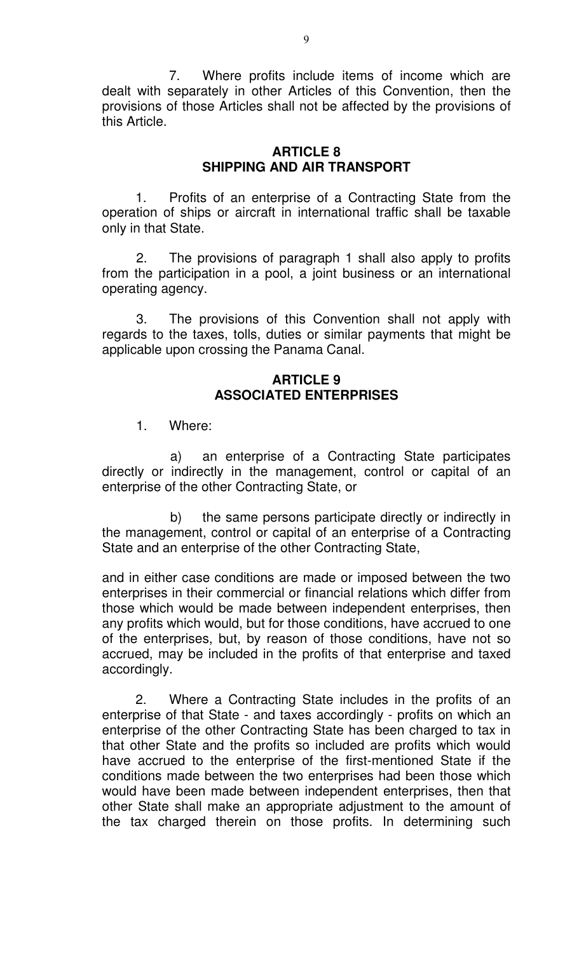7. Where profits include items of income which are dealt with separately in other Articles of this Convention, then the provisions of those Articles shall not be affected by the provisions of this Article.

### **ARTICLE 8 SHIPPING AND AIR TRANSPORT**

 1. Profits of an enterprise of a Contracting State from the operation of ships or aircraft in international traffic shall be taxable only in that State.

2. The provisions of paragraph 1 shall also apply to profits from the participation in a pool, a joint business or an international operating agency.

3. The provisions of this Convention shall not apply with regards to the taxes, tolls, duties or similar payments that might be applicable upon crossing the Panama Canal.

### **ARTICLE 9 ASSOCIATED ENTERPRISES**

#### 1. Where:

a) an enterprise of a Contracting State participates directly or indirectly in the management, control or capital of an enterprise of the other Contracting State, or

b) the same persons participate directly or indirectly in the management, control or capital of an enterprise of a Contracting State and an enterprise of the other Contracting State,

and in either case conditions are made or imposed between the two enterprises in their commercial or financial relations which differ from those which would be made between independent enterprises, then any profits which would, but for those conditions, have accrued to one of the enterprises, but, by reason of those conditions, have not so accrued, may be included in the profits of that enterprise and taxed accordingly.

 2. Where a Contracting State includes in the profits of an enterprise of that State - and taxes accordingly - profits on which an enterprise of the other Contracting State has been charged to tax in that other State and the profits so included are profits which would have accrued to the enterprise of the first-mentioned State if the conditions made between the two enterprises had been those which would have been made between independent enterprises, then that other State shall make an appropriate adjustment to the amount of the tax charged therein on those profits. In determining such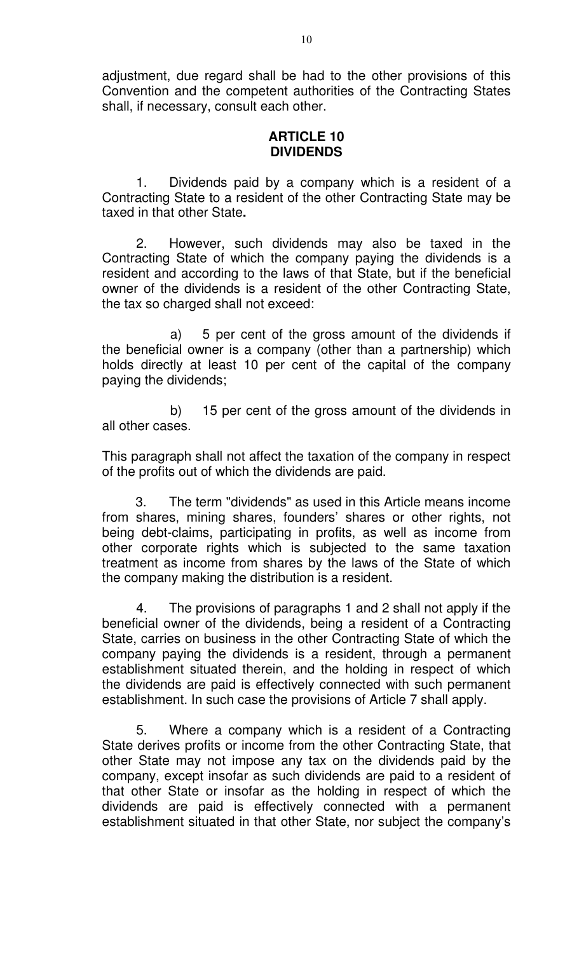adjustment, due regard shall be had to the other provisions of this Convention and the competent authorities of the Contracting States shall, if necessary, consult each other.

## **ARTICLE 10 DIVIDENDS**

1. Dividends paid by a company which is a resident of a Contracting State to a resident of the other Contracting State may be taxed in that other State**.** 

2. However, such dividends may also be taxed in the Contracting State of which the company paying the dividends is a resident and according to the laws of that State, but if the beneficial owner of the dividends is a resident of the other Contracting State, the tax so charged shall not exceed:

a) 5 per cent of the gross amount of the dividends if the beneficial owner is a company (other than a partnership) which holds directly at least 10 per cent of the capital of the company paying the dividends;

b) 15 per cent of the gross amount of the dividends in all other cases.

This paragraph shall not affect the taxation of the company in respect of the profits out of which the dividends are paid.

 3. The term "dividends" as used in this Article means income from shares, mining shares, founders' shares or other rights, not being debt-claims, participating in profits, as well as income from other corporate rights which is subjected to the same taxation treatment as income from shares by the laws of the State of which the company making the distribution is a resident.

4. The provisions of paragraphs 1 and 2 shall not apply if the beneficial owner of the dividends, being a resident of a Contracting State, carries on business in the other Contracting State of which the company paying the dividends is a resident, through a permanent establishment situated therein, and the holding in respect of which the dividends are paid is effectively connected with such permanent establishment. In such case the provisions of Article 7 shall apply.

5. Where a company which is a resident of a Contracting State derives profits or income from the other Contracting State, that other State may not impose any tax on the dividends paid by the company, except insofar as such dividends are paid to a resident of that other State or insofar as the holding in respect of which the dividends are paid is effectively connected with a permanent establishment situated in that other State, nor subject the company's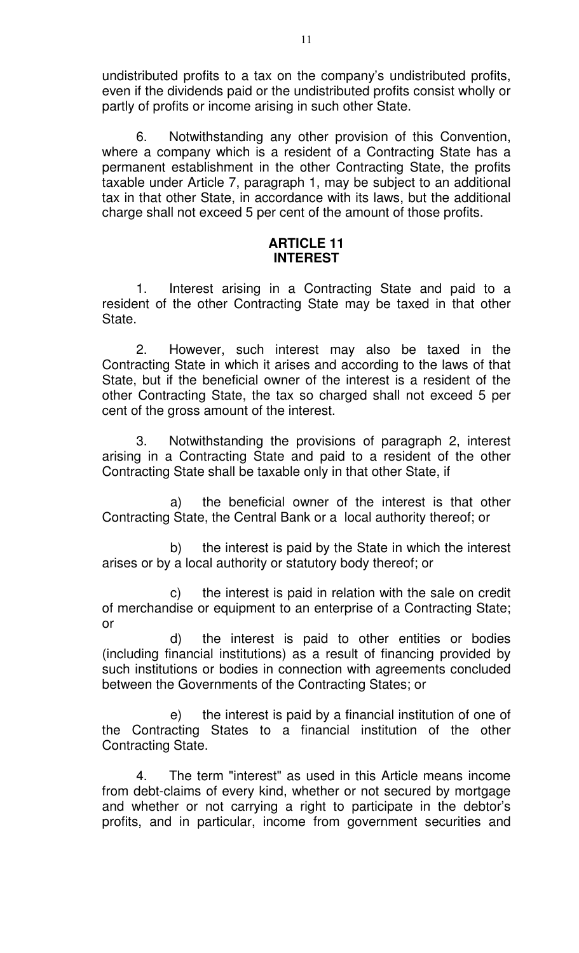undistributed profits to a tax on the company's undistributed profits, even if the dividends paid or the undistributed profits consist wholly or partly of profits or income arising in such other State.

6. Notwithstanding any other provision of this Convention, where a company which is a resident of a Contracting State has a permanent establishment in the other Contracting State, the profits taxable under Article 7, paragraph 1, may be subject to an additional tax in that other State, in accordance with its laws, but the additional charge shall not exceed 5 per cent of the amount of those profits.

## **ARTICLE 11 INTEREST**

1. Interest arising in a Contracting State and paid to a resident of the other Contracting State may be taxed in that other State.

2. However, such interest may also be taxed in the Contracting State in which it arises and according to the laws of that State, but if the beneficial owner of the interest is a resident of the other Contracting State, the tax so charged shall not exceed 5 per cent of the gross amount of the interest.

3. Notwithstanding the provisions of paragraph 2, interest arising in a Contracting State and paid to a resident of the other Contracting State shall be taxable only in that other State, if

a) the beneficial owner of the interest is that other Contracting State, the Central Bank or a local authority thereof; or

b) the interest is paid by the State in which the interest arises or by a local authority or statutory body thereof; or

c) the interest is paid in relation with the sale on credit of merchandise or equipment to an enterprise of a Contracting State; or

d) the interest is paid to other entities or bodies (including financial institutions) as a result of financing provided by such institutions or bodies in connection with agreements concluded between the Governments of the Contracting States; or

e) the interest is paid by a financial institution of one of the Contracting States to a financial institution of the other Contracting State.

4. The term "interest" as used in this Article means income from debt-claims of every kind, whether or not secured by mortgage and whether or not carrying a right to participate in the debtor's profits, and in particular, income from government securities and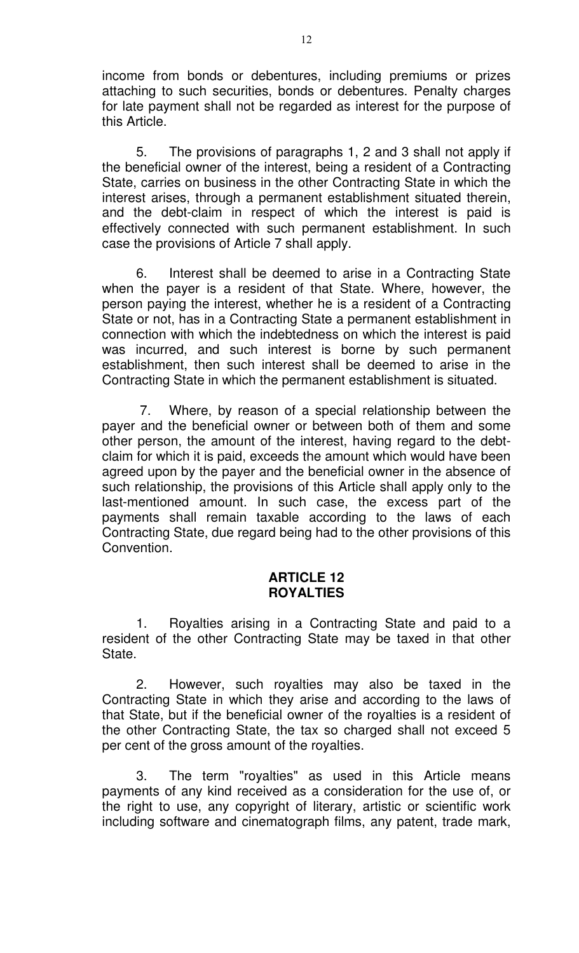income from bonds or debentures, including premiums or prizes attaching to such securities, bonds or debentures. Penalty charges for late payment shall not be regarded as interest for the purpose of this Article.

5. The provisions of paragraphs 1, 2 and 3 shall not apply if the beneficial owner of the interest, being a resident of a Contracting State, carries on business in the other Contracting State in which the interest arises, through a permanent establishment situated therein, and the debt-claim in respect of which the interest is paid is effectively connected with such permanent establishment. In such case the provisions of Article 7 shall apply.

6. Interest shall be deemed to arise in a Contracting State when the payer is a resident of that State. Where, however, the person paying the interest, whether he is a resident of a Contracting State or not, has in a Contracting State a permanent establishment in connection with which the indebtedness on which the interest is paid was incurred, and such interest is borne by such permanent establishment, then such interest shall be deemed to arise in the Contracting State in which the permanent establishment is situated.

 7. Where, by reason of a special relationship between the payer and the beneficial owner or between both of them and some other person, the amount of the interest, having regard to the debtclaim for which it is paid, exceeds the amount which would have been agreed upon by the payer and the beneficial owner in the absence of such relationship, the provisions of this Article shall apply only to the last-mentioned amount. In such case, the excess part of the payments shall remain taxable according to the laws of each Contracting State, due regard being had to the other provisions of this Convention.

### **ARTICLE 12 ROYALTIES**

1. Royalties arising in a Contracting State and paid to a resident of the other Contracting State may be taxed in that other State.

2. However, such royalties may also be taxed in the Contracting State in which they arise and according to the laws of that State, but if the beneficial owner of the royalties is a resident of the other Contracting State, the tax so charged shall not exceed 5 per cent of the gross amount of the royalties.

3. The term "royalties" as used in this Article means payments of any kind received as a consideration for the use of, or the right to use, any copyright of literary, artistic or scientific work including software and cinematograph films, any patent, trade mark,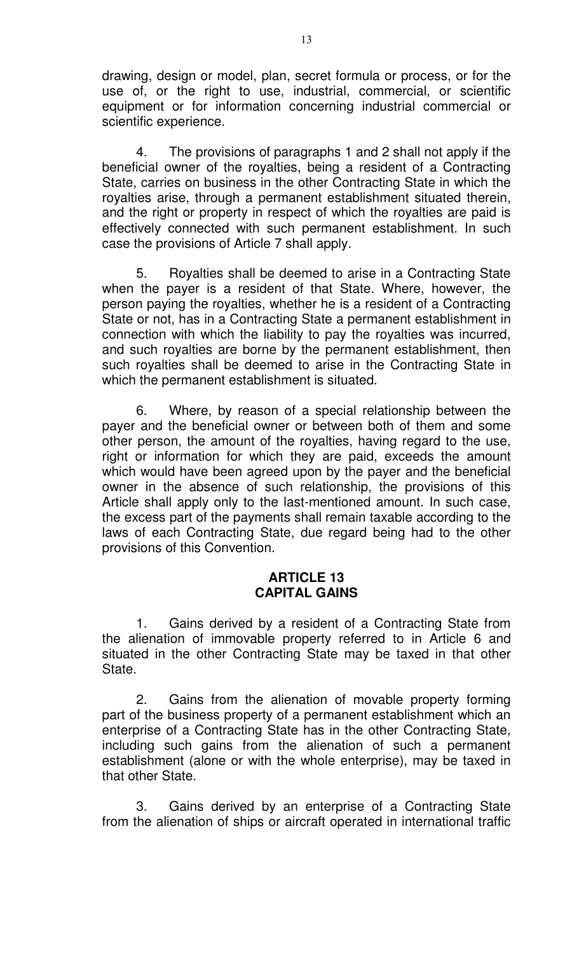drawing, design or model, plan, secret formula or process, or for the use of, or the right to use, industrial, commercial, or scientific equipment or for information concerning industrial commercial or scientific experience.

4. The provisions of paragraphs 1 and 2 shall not apply if the beneficial owner of the royalties, being a resident of a Contracting State, carries on business in the other Contracting State in which the royalties arise, through a permanent establishment situated therein, and the right or property in respect of which the royalties are paid is effectively connected with such permanent establishment. In such case the provisions of Article 7 shall apply.

5. Royalties shall be deemed to arise in a Contracting State when the payer is a resident of that State. Where, however, the person paying the royalties, whether he is a resident of a Contracting State or not, has in a Contracting State a permanent establishment in connection with which the liability to pay the royalties was incurred, and such royalties are borne by the permanent establishment, then such royalties shall be deemed to arise in the Contracting State in which the permanent establishment is situated.

6. Where, by reason of a special relationship between the payer and the beneficial owner or between both of them and some other person, the amount of the royalties, having regard to the use, right or information for which they are paid, exceeds the amount which would have been agreed upon by the payer and the beneficial owner in the absence of such relationship, the provisions of this Article shall apply only to the last-mentioned amount. In such case, the excess part of the payments shall remain taxable according to the laws of each Contracting State, due regard being had to the other provisions of this Convention.

### **ARTICLE 13 CAPITAL GAINS**

1. Gains derived by a resident of a Contracting State from the alienation of immovable property referred to in Article 6 and situated in the other Contracting State may be taxed in that other State.

2. Gains from the alienation of movable property forming part of the business property of a permanent establishment which an enterprise of a Contracting State has in the other Contracting State, including such gains from the alienation of such a permanent establishment (alone or with the whole enterprise), may be taxed in that other State.

3. Gains derived by an enterprise of a Contracting State from the alienation of ships or aircraft operated in international traffic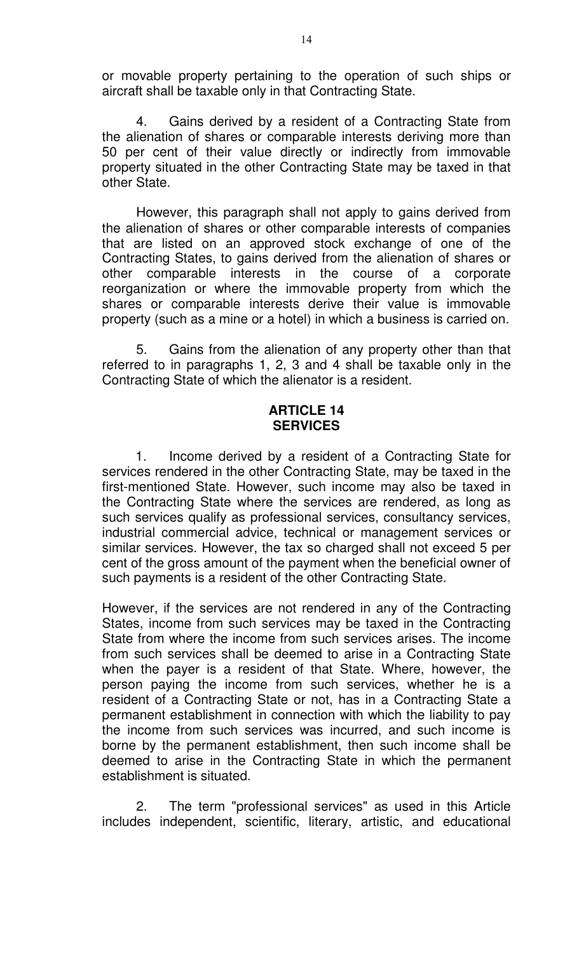or movable property pertaining to the operation of such ships or aircraft shall be taxable only in that Contracting State.

4. Gains derived by a resident of a Contracting State from the alienation of shares or comparable interests deriving more than 50 per cent of their value directly or indirectly from immovable property situated in the other Contracting State may be taxed in that other State.

However, this paragraph shall not apply to gains derived from the alienation of shares or other comparable interests of companies that are listed on an approved stock exchange of one of the Contracting States, to gains derived from the alienation of shares or other comparable interests in the course of a corporate reorganization or where the immovable property from which the shares or comparable interests derive their value is immovable property (such as a mine or a hotel) in which a business is carried on.

5. Gains from the alienation of any property other than that referred to in paragraphs 1, 2, 3 and 4 shall be taxable only in the Contracting State of which the alienator is a resident.

### **ARTICLE 14 SERVICES**

 1. Income derived by a resident of a Contracting State for services rendered in the other Contracting State, may be taxed in the first-mentioned State. However, such income may also be taxed in the Contracting State where the services are rendered, as long as such services qualify as professional services, consultancy services, industrial commercial advice, technical or management services or similar services. However, the tax so charged shall not exceed 5 per cent of the gross amount of the payment when the beneficial owner of such payments is a resident of the other Contracting State.

However, if the services are not rendered in any of the Contracting States, income from such services may be taxed in the Contracting State from where the income from such services arises. The income from such services shall be deemed to arise in a Contracting State when the payer is a resident of that State. Where, however, the person paying the income from such services, whether he is a resident of a Contracting State or not, has in a Contracting State a permanent establishment in connection with which the liability to pay the income from such services was incurred, and such income is borne by the permanent establishment, then such income shall be deemed to arise in the Contracting State in which the permanent establishment is situated.

2. The term "professional services" as used in this Article includes independent, scientific, literary, artistic, and educational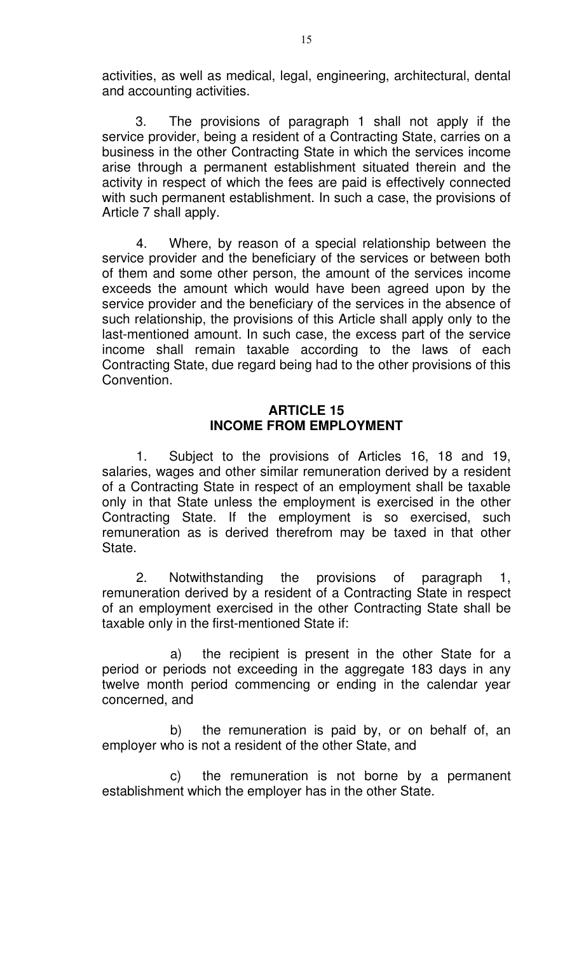activities, as well as medical, legal, engineering, architectural, dental and accounting activities.

 3. The provisions of paragraph 1 shall not apply if the service provider, being a resident of a Contracting State, carries on a business in the other Contracting State in which the services income arise through a permanent establishment situated therein and the activity in respect of which the fees are paid is effectively connected with such permanent establishment. In such a case, the provisions of Article 7 shall apply.

4. Where, by reason of a special relationship between the service provider and the beneficiary of the services or between both of them and some other person, the amount of the services income exceeds the amount which would have been agreed upon by the service provider and the beneficiary of the services in the absence of such relationship, the provisions of this Article shall apply only to the last-mentioned amount. In such case, the excess part of the service income shall remain taxable according to the laws of each Contracting State, due regard being had to the other provisions of this Convention.

## **ARTICLE 15 INCOME FROM EMPLOYMENT**

1. Subject to the provisions of Articles 16, 18 and 19, salaries, wages and other similar remuneration derived by a resident of a Contracting State in respect of an employment shall be taxable only in that State unless the employment is exercised in the other Contracting State. If the employment is so exercised, such remuneration as is derived therefrom may be taxed in that other State.

2. Notwithstanding the provisions of paragraph 1, remuneration derived by a resident of a Contracting State in respect of an employment exercised in the other Contracting State shall be taxable only in the first-mentioned State if:

a) the recipient is present in the other State for a period or periods not exceeding in the aggregate 183 days in any twelve month period commencing or ending in the calendar year concerned, and

b) the remuneration is paid by, or on behalf of, an employer who is not a resident of the other State, and

c) the remuneration is not borne by a permanent establishment which the employer has in the other State.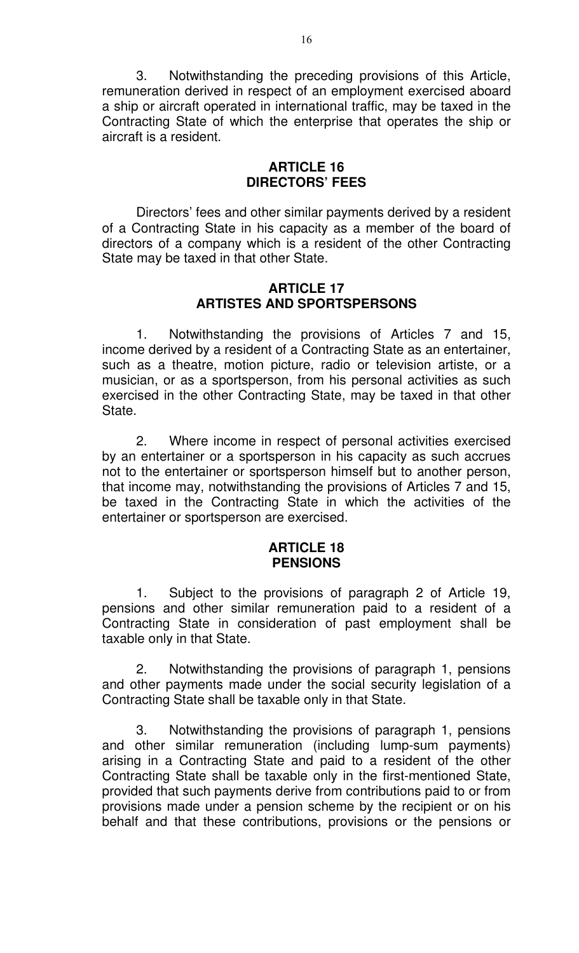3. Notwithstanding the preceding provisions of this Article, remuneration derived in respect of an employment exercised aboard a ship or aircraft operated in international traffic, may be taxed in the Contracting State of which the enterprise that operates the ship or aircraft is a resident.

## **ARTICLE 16 DIRECTORS' FEES**

Directors' fees and other similar payments derived by a resident of a Contracting State in his capacity as a member of the board of directors of a company which is a resident of the other Contracting State may be taxed in that other State.

### **ARTICLE 17 ARTISTES AND SPORTSPERSONS**

1. Notwithstanding the provisions of Articles 7 and 15, income derived by a resident of a Contracting State as an entertainer, such as a theatre, motion picture, radio or television artiste, or a musician, or as a sportsperson, from his personal activities as such exercised in the other Contracting State, may be taxed in that other State.

2. Where income in respect of personal activities exercised by an entertainer or a sportsperson in his capacity as such accrues not to the entertainer or sportsperson himself but to another person, that income may, notwithstanding the provisions of Articles 7 and 15, be taxed in the Contracting State in which the activities of the entertainer or sportsperson are exercised.

### **ARTICLE 18 PENSIONS**

1. Subject to the provisions of paragraph 2 of Article 19, pensions and other similar remuneration paid to a resident of a Contracting State in consideration of past employment shall be taxable only in that State.

2. Notwithstanding the provisions of paragraph 1, pensions and other payments made under the social security legislation of a Contracting State shall be taxable only in that State.

3. Notwithstanding the provisions of paragraph 1, pensions and other similar remuneration (including lump-sum payments) arising in a Contracting State and paid to a resident of the other Contracting State shall be taxable only in the first-mentioned State, provided that such payments derive from contributions paid to or from provisions made under a pension scheme by the recipient or on his behalf and that these contributions, provisions or the pensions or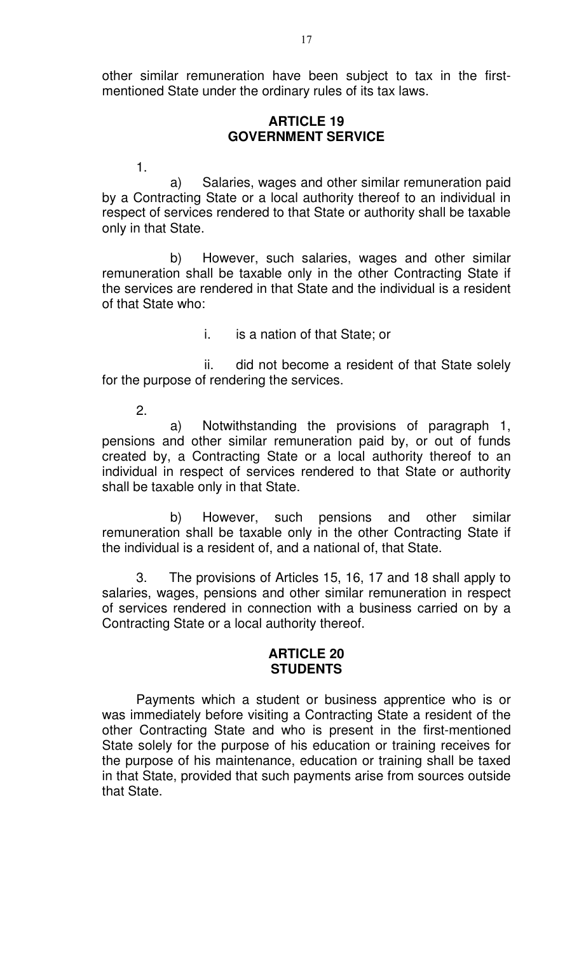other similar remuneration have been subject to tax in the firstmentioned State under the ordinary rules of its tax laws.

#### **ARTICLE 19 GOVERNMENT SERVICE**

1.

a) Salaries, wages and other similar remuneration paid by a Contracting State or a local authority thereof to an individual in respect of services rendered to that State or authority shall be taxable only in that State.

b) However, such salaries, wages and other similar remuneration shall be taxable only in the other Contracting State if the services are rendered in that State and the individual is a resident of that State who:

i. is a nation of that State; or

ii. did not become a resident of that State solely for the purpose of rendering the services.

2.

a) Notwithstanding the provisions of paragraph 1, pensions and other similar remuneration paid by, or out of funds created by, a Contracting State or a local authority thereof to an individual in respect of services rendered to that State or authority shall be taxable only in that State.

b) However, such pensions and other similar remuneration shall be taxable only in the other Contracting State if the individual is a resident of, and a national of, that State.

3. The provisions of Articles 15, 16, 17 and 18 shall apply to salaries, wages, pensions and other similar remuneration in respect of services rendered in connection with a business carried on by a Contracting State or a local authority thereof.

#### **ARTICLE 20 STUDENTS**

Payments which a student or business apprentice who is or was immediately before visiting a Contracting State a resident of the other Contracting State and who is present in the first-mentioned State solely for the purpose of his education or training receives for the purpose of his maintenance, education or training shall be taxed in that State, provided that such payments arise from sources outside that State.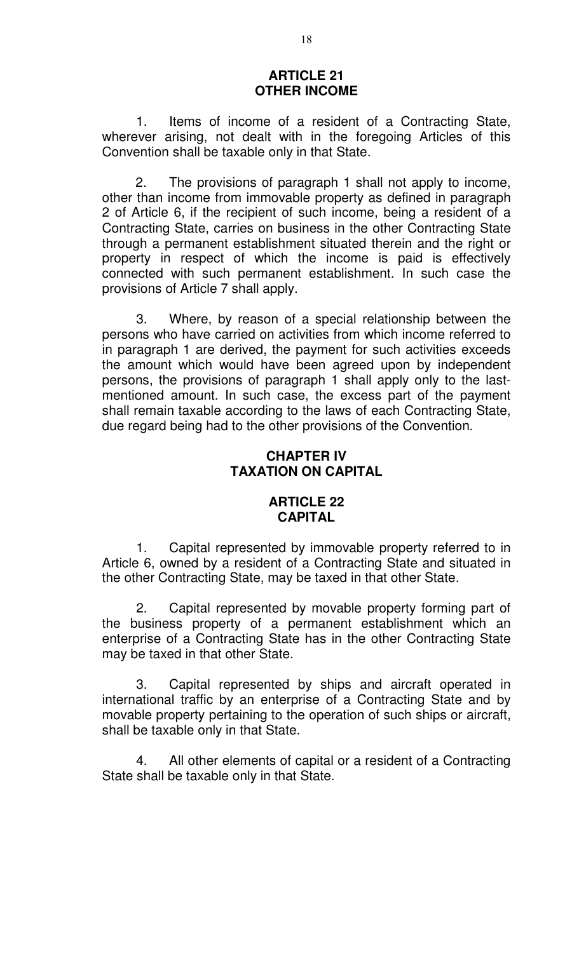### **ARTICLE 21 OTHER INCOME**

1. Items of income of a resident of a Contracting State, wherever arising, not dealt with in the foregoing Articles of this Convention shall be taxable only in that State.

 2. The provisions of paragraph 1 shall not apply to income, other than income from immovable property as defined in paragraph 2 of Article 6, if the recipient of such income, being a resident of a Contracting State, carries on business in the other Contracting State through a permanent establishment situated therein and the right or property in respect of which the income is paid is effectively connected with such permanent establishment. In such case the provisions of Article 7 shall apply.

3. Where, by reason of a special relationship between the persons who have carried on activities from which income referred to in paragraph 1 are derived, the payment for such activities exceeds the amount which would have been agreed upon by independent persons, the provisions of paragraph 1 shall apply only to the lastmentioned amount. In such case, the excess part of the payment shall remain taxable according to the laws of each Contracting State, due regard being had to the other provisions of the Convention.

### **CHAPTER IV TAXATION ON CAPITAL**

## **ARTICLE 22 CAPITAL**

1. Capital represented by immovable property referred to in Article 6, owned by a resident of a Contracting State and situated in the other Contracting State, may be taxed in that other State.

2. Capital represented by movable property forming part of the business property of a permanent establishment which an enterprise of a Contracting State has in the other Contracting State may be taxed in that other State.

3. Capital represented by ships and aircraft operated in international traffic by an enterprise of a Contracting State and by movable property pertaining to the operation of such ships or aircraft, shall be taxable only in that State.

4. All other elements of capital or a resident of a Contracting State shall be taxable only in that State.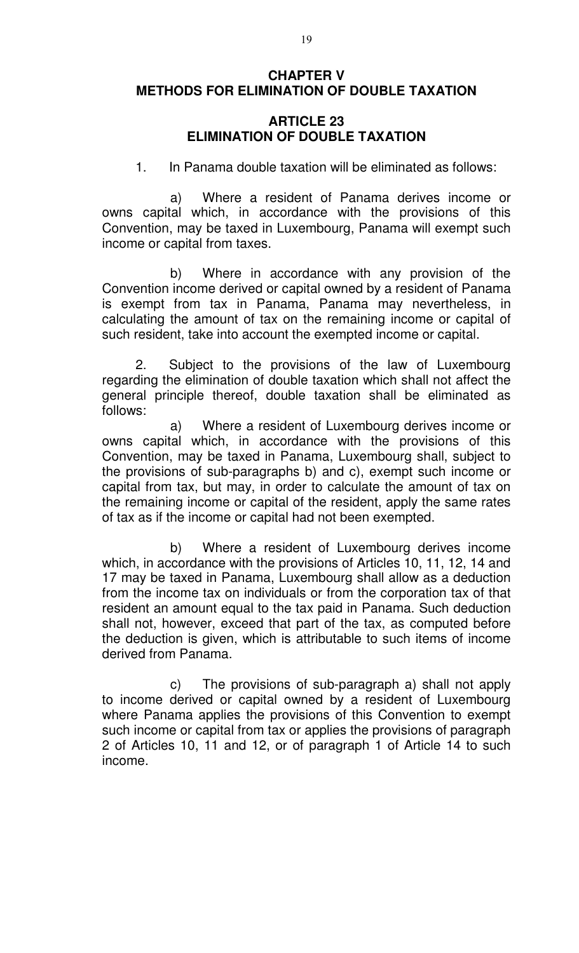### **CHAPTER V METHODS FOR ELIMINATION OF DOUBLE TAXATION**

### **ARTICLE 23 ELIMINATION OF DOUBLE TAXATION**

1. In Panama double taxation will be eliminated as follows:

a) Where a resident of Panama derives income or owns capital which, in accordance with the provisions of this Convention, may be taxed in Luxembourg, Panama will exempt such income or capital from taxes.

b) Where in accordance with any provision of the Convention income derived or capital owned by a resident of Panama is exempt from tax in Panama, Panama may nevertheless, in calculating the amount of tax on the remaining income or capital of such resident, take into account the exempted income or capital.

 2. Subject to the provisions of the law of Luxembourg regarding the elimination of double taxation which shall not affect the general principle thereof, double taxation shall be eliminated as follows:

a) Where a resident of Luxembourg derives income or owns capital which, in accordance with the provisions of this Convention, may be taxed in Panama, Luxembourg shall, subject to the provisions of sub-paragraphs b) and c), exempt such income or capital from tax, but may, in order to calculate the amount of tax on the remaining income or capital of the resident, apply the same rates of tax as if the income or capital had not been exempted.

b) Where a resident of Luxembourg derives income which, in accordance with the provisions of Articles 10, 11, 12, 14 and 17 may be taxed in Panama, Luxembourg shall allow as a deduction from the income tax on individuals or from the corporation tax of that resident an amount equal to the tax paid in Panama. Such deduction shall not, however, exceed that part of the tax, as computed before the deduction is given, which is attributable to such items of income derived from Panama.

c) The provisions of sub-paragraph a) shall not apply to income derived or capital owned by a resident of Luxembourg where Panama applies the provisions of this Convention to exempt such income or capital from tax or applies the provisions of paragraph 2 of Articles 10, 11 and 12, or of paragraph 1 of Article 14 to such income.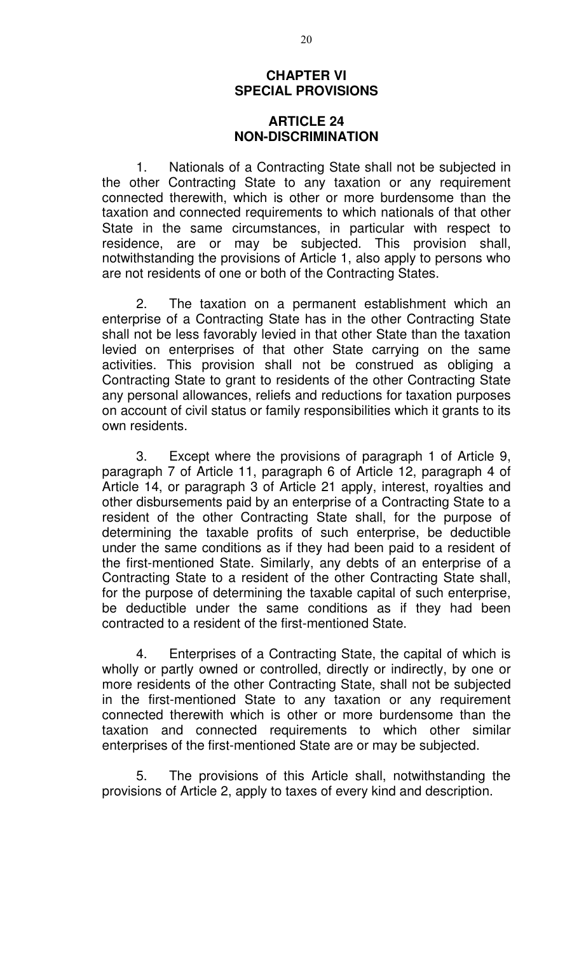#### **CHAPTER VI SPECIAL PROVISIONS**

### **ARTICLE 24 NON-DISCRIMINATION**

1. Nationals of a Contracting State shall not be subjected in the other Contracting State to any taxation or any requirement connected therewith, which is other or more burdensome than the taxation and connected requirements to which nationals of that other State in the same circumstances, in particular with respect to residence, are or may be subjected. This provision shall, notwithstanding the provisions of Article 1, also apply to persons who are not residents of one or both of the Contracting States.

2. The taxation on a permanent establishment which an enterprise of a Contracting State has in the other Contracting State shall not be less favorably levied in that other State than the taxation levied on enterprises of that other State carrying on the same activities. This provision shall not be construed as obliging a Contracting State to grant to residents of the other Contracting State any personal allowances, reliefs and reductions for taxation purposes on account of civil status or family responsibilities which it grants to its own residents.

3. Except where the provisions of paragraph 1 of Article 9, paragraph 7 of Article 11, paragraph 6 of Article 12, paragraph 4 of Article 14, or paragraph 3 of Article 21 apply, interest, royalties and other disbursements paid by an enterprise of a Contracting State to a resident of the other Contracting State shall, for the purpose of determining the taxable profits of such enterprise, be deductible under the same conditions as if they had been paid to a resident of the first-mentioned State. Similarly, any debts of an enterprise of a Contracting State to a resident of the other Contracting State shall, for the purpose of determining the taxable capital of such enterprise, be deductible under the same conditions as if they had been contracted to a resident of the first-mentioned State.

4. Enterprises of a Contracting State, the capital of which is wholly or partly owned or controlled, directly or indirectly, by one or more residents of the other Contracting State, shall not be subjected in the first-mentioned State to any taxation or any requirement connected therewith which is other or more burdensome than the taxation and connected requirements to which other similar enterprises of the first-mentioned State are or may be subjected.

5. The provisions of this Article shall, notwithstanding the provisions of Article 2, apply to taxes of every kind and description.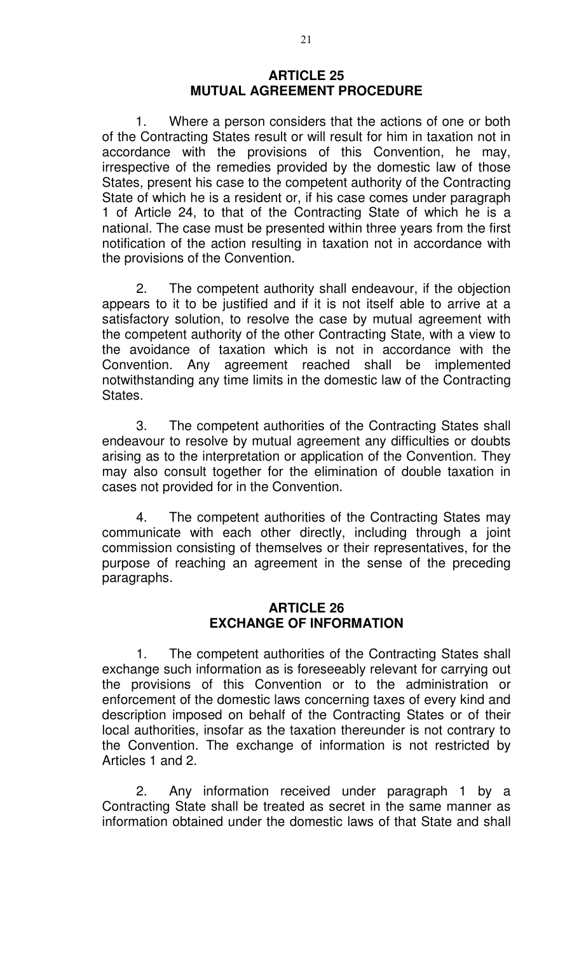#### **ARTICLE 25 MUTUAL AGREEMENT PROCEDURE**

 1. Where a person considers that the actions of one or both of the Contracting States result or will result for him in taxation not in accordance with the provisions of this Convention, he may, irrespective of the remedies provided by the domestic law of those States, present his case to the competent authority of the Contracting State of which he is a resident or, if his case comes under paragraph 1 of Article 24, to that of the Contracting State of which he is a national. The case must be presented within three years from the first notification of the action resulting in taxation not in accordance with the provisions of the Convention.

2. The competent authority shall endeavour, if the objection appears to it to be justified and if it is not itself able to arrive at a satisfactory solution, to resolve the case by mutual agreement with the competent authority of the other Contracting State, with a view to the avoidance of taxation which is not in accordance with the Convention. Any agreement reached shall be implemented notwithstanding any time limits in the domestic law of the Contracting States.

3. The competent authorities of the Contracting States shall endeavour to resolve by mutual agreement any difficulties or doubts arising as to the interpretation or application of the Convention. They may also consult together for the elimination of double taxation in cases not provided for in the Convention.

4. The competent authorities of the Contracting States may communicate with each other directly, including through a joint commission consisting of themselves or their representatives, for the purpose of reaching an agreement in the sense of the preceding paragraphs.

### **ARTICLE 26 EXCHANGE OF INFORMATION**

1. The competent authorities of the Contracting States shall exchange such information as is foreseeably relevant for carrying out the provisions of this Convention or to the administration or enforcement of the domestic laws concerning taxes of every kind and description imposed on behalf of the Contracting States or of their local authorities, insofar as the taxation thereunder is not contrary to the Convention. The exchange of information is not restricted by Articles 1 and 2.

2. Any information received under paragraph 1 by a Contracting State shall be treated as secret in the same manner as information obtained under the domestic laws of that State and shall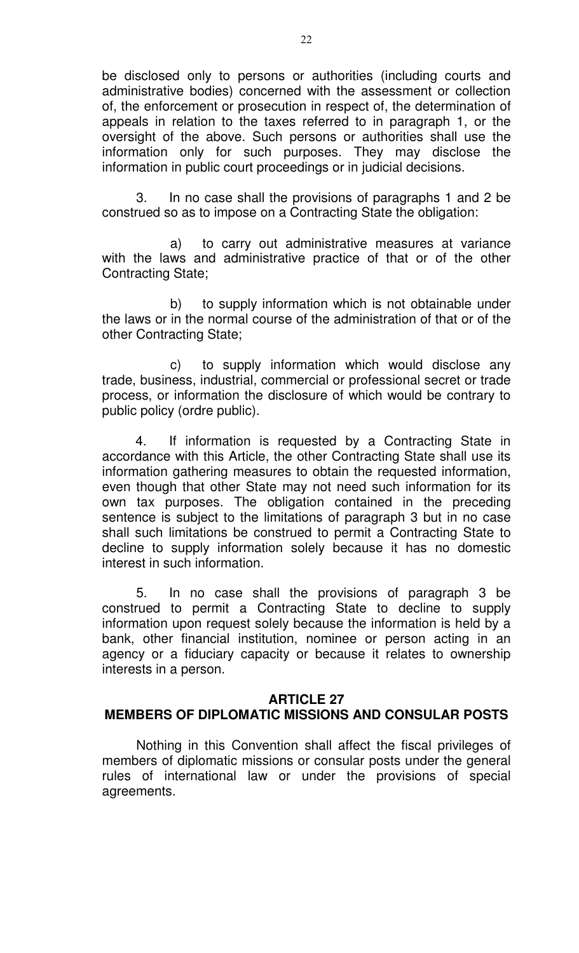be disclosed only to persons or authorities (including courts and administrative bodies) concerned with the assessment or collection of, the enforcement or prosecution in respect of, the determination of appeals in relation to the taxes referred to in paragraph 1, or the oversight of the above. Such persons or authorities shall use the information only for such purposes. They may disclose the information in public court proceedings or in judicial decisions.

3. In no case shall the provisions of paragraphs 1 and 2 be construed so as to impose on a Contracting State the obligation:

a) to carry out administrative measures at variance with the laws and administrative practice of that or of the other Contracting State;

b) to supply information which is not obtainable under the laws or in the normal course of the administration of that or of the other Contracting State;

c) to supply information which would disclose any trade, business, industrial, commercial or professional secret or trade process, or information the disclosure of which would be contrary to public policy (ordre public).

 4. If information is requested by a Contracting State in accordance with this Article, the other Contracting State shall use its information gathering measures to obtain the requested information, even though that other State may not need such information for its own tax purposes. The obligation contained in the preceding sentence is subject to the limitations of paragraph 3 but in no case shall such limitations be construed to permit a Contracting State to decline to supply information solely because it has no domestic interest in such information.

5. In no case shall the provisions of paragraph 3 be construed to permit a Contracting State to decline to supply information upon request solely because the information is held by a bank, other financial institution, nominee or person acting in an agency or a fiduciary capacity or because it relates to ownership interests in a person.

### **ARTICLE 27**

# **MEMBERS OF DIPLOMATIC MISSIONS AND CONSULAR POSTS**

Nothing in this Convention shall affect the fiscal privileges of members of diplomatic missions or consular posts under the general rules of international law or under the provisions of special agreements.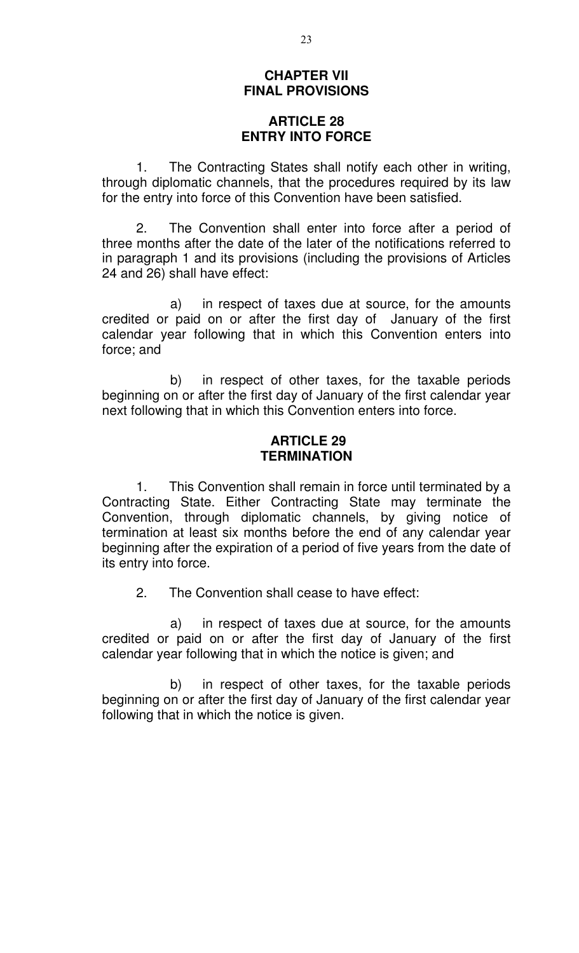### **CHAPTER VII FINAL PROVISIONS**

#### **ARTICLE 28 ENTRY INTO FORCE**

1. The Contracting States shall notify each other in writing, through diplomatic channels, that the procedures required by its law for the entry into force of this Convention have been satisfied.

2. The Convention shall enter into force after a period of three months after the date of the later of the notifications referred to in paragraph 1 and its provisions (including the provisions of Articles 24 and 26) shall have effect:

a) in respect of taxes due at source, for the amounts credited or paid on or after the first day of January of the first calendar year following that in which this Convention enters into force; and

b) in respect of other taxes, for the taxable periods beginning on or after the first day of January of the first calendar year next following that in which this Convention enters into force.

### **ARTICLE 29 TERMINATION**

1. This Convention shall remain in force until terminated by a Contracting State. Either Contracting State may terminate the Convention, through diplomatic channels, by giving notice of termination at least six months before the end of any calendar year beginning after the expiration of a period of five years from the date of its entry into force.

2. The Convention shall cease to have effect:

a) in respect of taxes due at source, for the amounts credited or paid on or after the first day of January of the first calendar year following that in which the notice is given; and

b) in respect of other taxes, for the taxable periods beginning on or after the first day of January of the first calendar year following that in which the notice is given.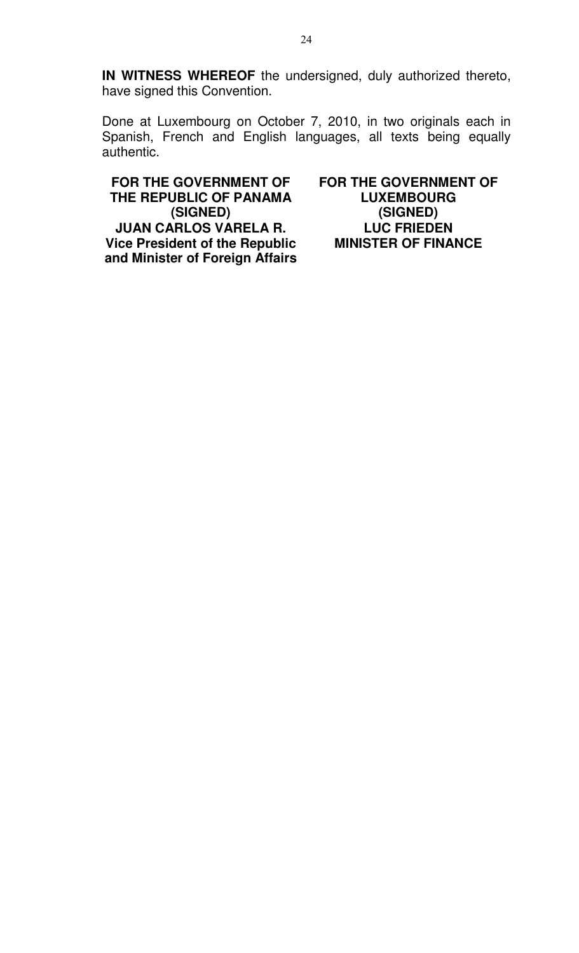**IN WITNESS WHEREOF** the undersigned, duly authorized thereto, have signed this Convention.

Done at Luxembourg on October 7, 2010, in two originals each in Spanish, French and English languages, all texts being equally authentic.

**FOR THE GOVERNMENT OF THE REPUBLIC OF PANAMA (SIGNED) JUAN CARLOS VARELA R. Vice President of the Republic and Minister of Foreign Affairs** 

**FOR THE GOVERNMENT OF LUXEMBOURG (SIGNED) LUC FRIEDEN MINISTER OF FINANCE**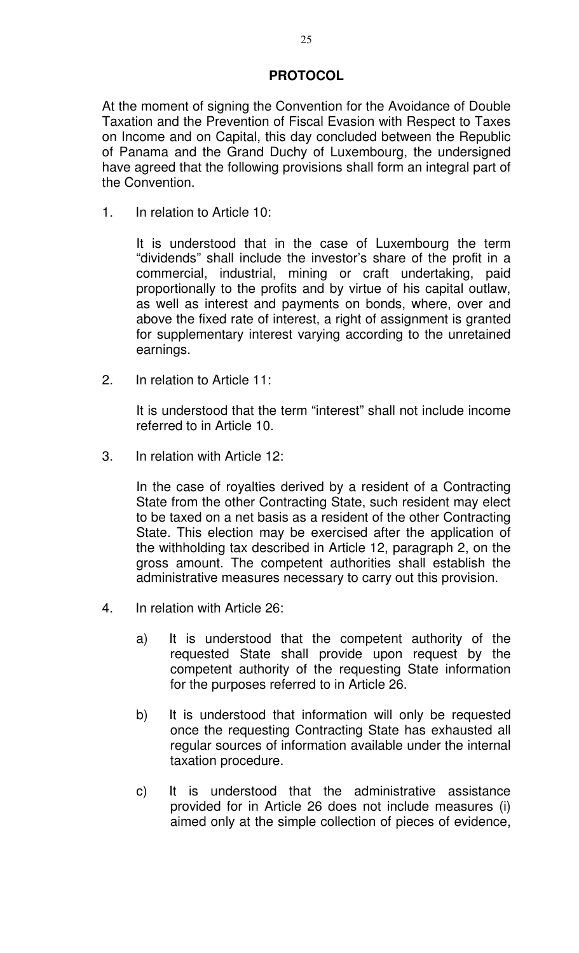# **PROTOCOL**

At the moment of signing the Convention for the Avoidance of Double Taxation and the Prevention of Fiscal Evasion with Respect to Taxes on Income and on Capital, this day concluded between the Republic of Panama and the Grand Duchy of Luxembourg, the undersigned have agreed that the following provisions shall form an integral part of the Convention.

1. In relation to Article 10:

It is understood that in the case of Luxembourg the term "dividends" shall include the investor's share of the profit in a commercial, industrial, mining or craft undertaking, paid proportionally to the profits and by virtue of his capital outlaw, as well as interest and payments on bonds, where, over and above the fixed rate of interest, a right of assignment is granted for supplementary interest varying according to the unretained earnings.

2. In relation to Article 11:

It is understood that the term "interest" shall not include income referred to in Article 10.

3. In relation with Article 12:

In the case of royalties derived by a resident of a Contracting State from the other Contracting State, such resident may elect to be taxed on a net basis as a resident of the other Contracting State. This election may be exercised after the application of the withholding tax described in Article 12, paragraph 2, on the gross amount. The competent authorities shall establish the administrative measures necessary to carry out this provision.

- 4. In relation with Article 26:
	- a) It is understood that the competent authority of the requested State shall provide upon request by the competent authority of the requesting State information for the purposes referred to in Article 26.
	- b) It is understood that information will only be requested once the requesting Contracting State has exhausted all regular sources of information available under the internal taxation procedure.
	- c) It is understood that the administrative assistance provided for in Article 26 does not include measures (i) aimed only at the simple collection of pieces of evidence,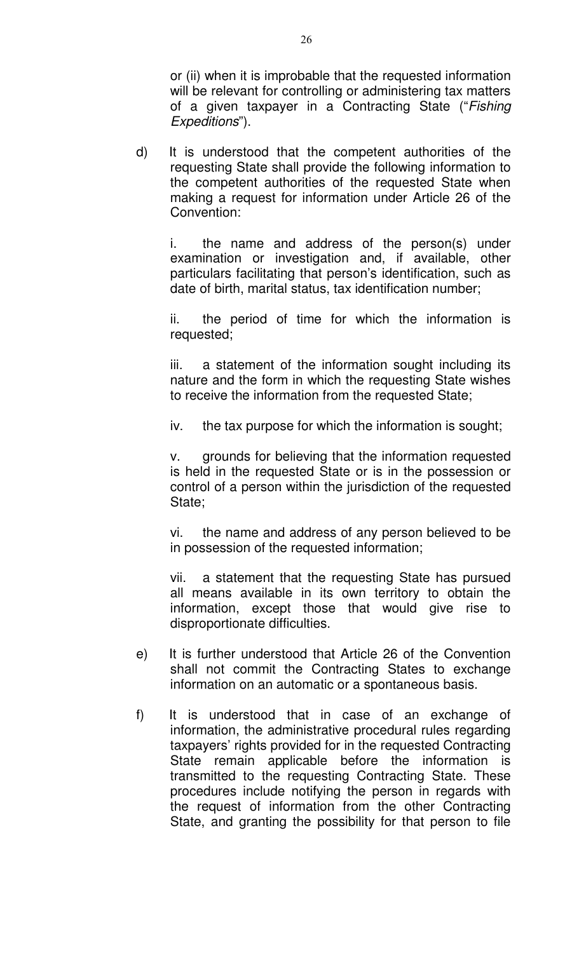or (ii) when it is improbable that the requested information will be relevant for controlling or administering tax matters of a given taxpayer in a Contracting State ("Fishing Expeditions").

d) It is understood that the competent authorities of the requesting State shall provide the following information to the competent authorities of the requested State when making a request for information under Article 26 of the Convention:

i. the name and address of the person(s) under examination or investigation and, if available, other particulars facilitating that person's identification, such as date of birth, marital status, tax identification number;

ii. the period of time for which the information is requested;

iii. a statement of the information sought including its nature and the form in which the requesting State wishes to receive the information from the requested State;

iv. the tax purpose for which the information is sought;

v. grounds for believing that the information requested is held in the requested State or is in the possession or control of a person within the jurisdiction of the requested State;

vi. the name and address of any person believed to be in possession of the requested information;

vii. a statement that the requesting State has pursued all means available in its own territory to obtain the information, except those that would give rise to disproportionate difficulties.

- e) It is further understood that Article 26 of the Convention shall not commit the Contracting States to exchange information on an automatic or a spontaneous basis.
- f) It is understood that in case of an exchange of information, the administrative procedural rules regarding taxpayers' rights provided for in the requested Contracting State remain applicable before the information is transmitted to the requesting Contracting State. These procedures include notifying the person in regards with the request of information from the other Contracting State, and granting the possibility for that person to file